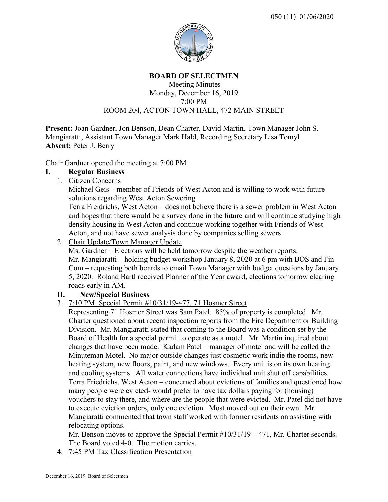

#### **BOARD OF SELECTMEN** Meeting Minutes Monday, December 16, 2019 7:00 PM

# ROOM 204, ACTON TOWN HALL, 472 MAIN STREET

**Present:** Joan Gardner, Jon Benson, Dean Charter, David Martin, Town Manager John S. Mangiaratti, Assistant Town Manager Mark Hald, Recording Secretary Lisa Tomyl **Absent:** Peter J. Berry

Chair Gardner opened the meeting at 7:00 PM

## **I**. **Regular Business**

1. Citizen Concerns

Michael Geis – member of Friends of West Acton and is willing to work with future solutions regarding West Acton Sewering

Terra Freidrichs, West Acton – does not believe there is a sewer problem in West Acton and hopes that there would be a survey done in the future and will continue studying high density housing in West Acton and continue working together with Friends of West Acton, and not have sewer analysis done by companies selling sewers

2. Chair Update/Town Manager Update

Ms. Gardner – Elections will be held tomorrow despite the weather reports. Mr. Mangiaratti – holding budget workshop January 8, 2020 at 6 pm with BOS and Fin Com – requesting both boards to email Town Manager with budget questions by January 5, 2020. Roland Bartl received Planner of the Year award, elections tomorrow clearing roads early in AM.

# **II. New/Special Business**

- 3. 7:10 PM Special Permit #10/31/19-477, 71 Hosmer Street
	- Representing 71 Hosmer Street was Sam Patel. 85% of property is completed. Mr. Charter questioned about recent inspection reports from the Fire Department or Building Division. Mr. Mangiaratti stated that coming to the Board was a condition set by the Board of Health for a special permit to operate as a motel. Mr. Martin inquired about changes that have been made. Kadam Patel – manager of motel and will be called the Minuteman Motel. No major outside changes just cosmetic work indie the rooms, new heating system, new floors, paint, and new windows. Every unit is on its own heating and cooling systems. All water connections have individual unit shut off capabilities. Terra Friedrichs, West Acton – concerned about evictions of families and questioned how many people were evicted- would prefer to have tax dollars paying for (housing) vouchers to stay there, and where are the people that were evicted. Mr. Patel did not have to execute eviction orders, only one eviction. Most moved out on their own. Mr. Mangiaratti commented that town staff worked with former residents on assisting with relocating options.

Mr. Benson moves to approve the Special Permit #10/31/19 – 471, Mr. Charter seconds. The Board voted 4-0. The motion carries.

4. 7:45 PM Tax Classification Presentation